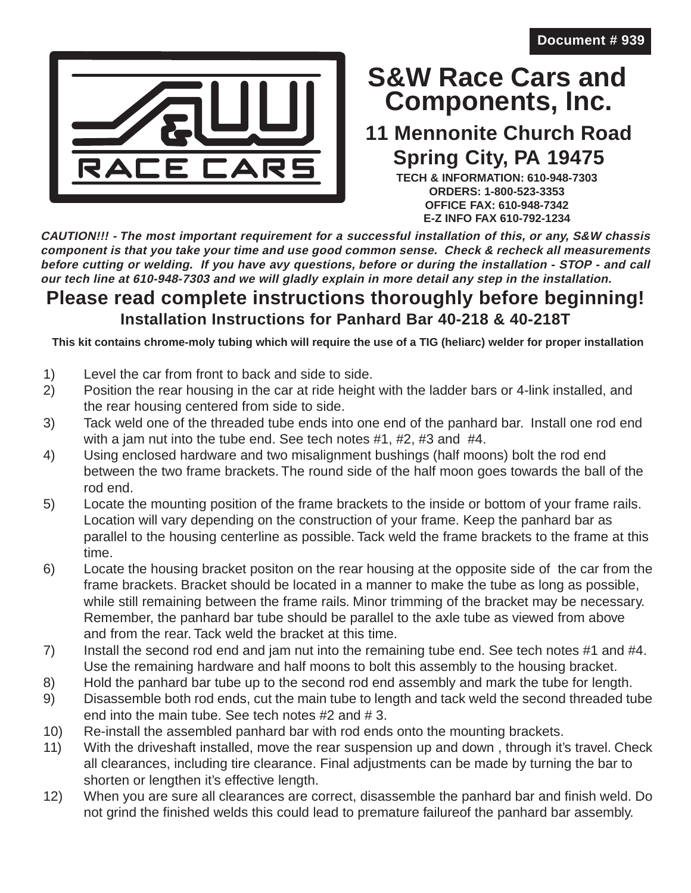

## **Components, Inc. S&W Race Cars and**

## **11 Mennonite Church Road Spring City, PA 19475**

**TECH & INFORMATION: 610-948-7303 ORDERS: 1-800-523-3353 OFFICE FAX: 610-948-7342 E-Z INFO FAX 610-792-1234**

**CAUTION!!! - The most important requirement for a successful installation of this, or any, S&W chassis component is that you take your time and use good common sense. Check & recheck all measurements before cutting or welding. If you have avy questions, before or during the installation - STOP - and call our tech line at 610-948-7303 and we will gladly explain in more detail any step in the installation.**

## **Please read complete instructions thoroughly before beginning! Installation Instructions for Panhard Bar 40-218 & 40-218T**

**This kit contains chrome-moly tubing which will require the use of a TIG (heliarc) welder for proper installation**

- 1) Level the car from front to back and side to side.
- 2) Position the rear housing in the car at ride height with the ladder bars or 4-link installed, and the rear housing centered from side to side.
- 3) Tack weld one of the threaded tube ends into one end of the panhard bar. Install one rod end with a jam nut into the tube end. See tech notes #1, #2, #3 and #4.
- 4) Using enclosed hardware and two misalignment bushings (half moons) bolt the rod end between the two frame brackets. The round side of the half moon goes towards the ball of the rod end.
- 5) Locate the mounting position of the frame brackets to the inside or bottom of your frame rails. Location will vary depending on the construction of your frame. Keep the panhard bar as parallel to the housing centerline as possible. Tack weld the frame brackets to the frame at this time.
- 6) Locate the housing bracket positon on the rear housing at the opposite side of the car from the frame brackets. Bracket should be located in a manner to make the tube as long as possible, while still remaining between the frame rails. Minor trimming of the bracket may be necessary. Remember, the panhard bar tube should be parallel to the axle tube as viewed from above and from the rear. Tack weld the bracket at this time.
- 7) Install the second rod end and jam nut into the remaining tube end. See tech notes #1 and #4. Use the remaining hardware and half moons to bolt this assembly to the housing bracket.
- 8) Hold the panhard bar tube up to the second rod end assembly and mark the tube for length.
- 9) Disassemble both rod ends, cut the main tube to length and tack weld the second threaded tube end into the main tube. See tech notes #2 and # 3.
- 10) Re-install the assembled panhard bar with rod ends onto the mounting brackets.
- 11) With the driveshaft installed, move the rear suspension up and down , through it's travel. Check all clearances, including tire clearance. Final adjustments can be made by turning the bar to shorten or lengthen it's effective length.
- 12) When you are sure all clearances are correct, disassemble the panhard bar and finish weld. Do not grind the finished welds this could lead to premature failureof the panhard bar assembly.